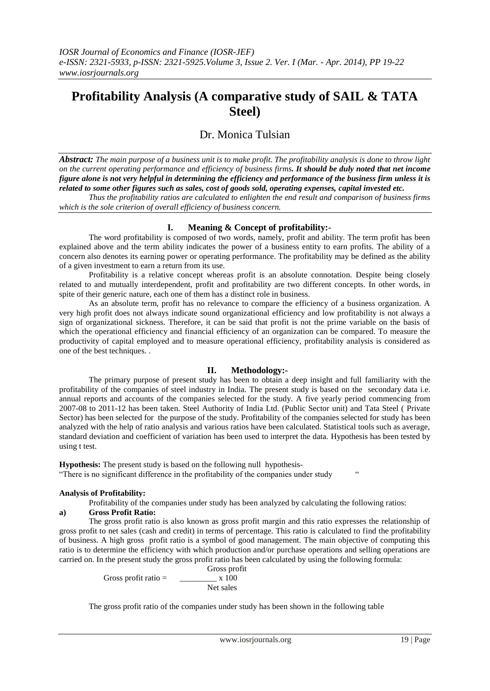# **Profitability Analysis (A comparative study of SAIL & TATA Steel)**

# Dr. Monica Tulsian

*Abstract: The main purpose of a business unit is to make profit. The profitability analysis is done to throw light on the current operating performance and efficiency of business firms. It should be duly noted that net income figure alone is not very helpful in determining the efficiency and performance of the business firm unless it is related to some other figures such as sales, cost of goods sold, operating expenses, capital invested etc.*

*Thus the profitability ratios are calculated to enlighten the end result and comparison of business firms which is the sole criterion of overall efficiency of business concern.*

# **I. Meaning & Concept of profitability:-**

The word profitability is composed of two words, namely, profit and ability. The term profit has been explained above and the term ability indicates the power of a business entity to earn profits. The ability of a concern also denotes its earning power or operating performance. The profitability may be defined as the ability of a given investment to earn a return from its use.

Profitability is a relative concept whereas profit is an absolute connotation. Despite being closely related to and mutually interdependent, profit and profitability are two different concepts. In other words, in spite of their generic nature, each one of them has a distinct role in business.

As an absolute term, profit has no relevance to compare the efficiency of a business organization. A very high profit does not always indicate sound organizational efficiency and low profitability is not always a sign of organizational sickness. Therefore, it can be said that profit is not the prime variable on the basis of which the operational efficiency and financial efficiency of an organization can be compared. To measure the productivity of capital employed and to measure operational efficiency, profitability analysis is considered as one of the best techniques. .

### **II. Methodology:-**

The primary purpose of present study has been to obtain a deep insight and full familiarity with the profitability of the companies of steel industry in India. The present study is based on the secondary data i.e. annual reports and accounts of the companies selected for the study. A five yearly period commencing from 2007-08 to 2011-12 has been taken. Steel Authority of India Ltd. (Public Sector unit) and Tata Steel ( Private Sector) has been selected for the purpose of the study. Profitability of the companies selected for study has been analyzed with the help of ratio analysis and various ratios have been calculated. Statistical tools such as average, standard deviation and coefficient of variation has been used to interpret the data. Hypothesis has been tested by using t test.

**Hypothesis:** The present study is based on the following null hypothesis- "There is no significant difference in the profitability of the companies under study "

# **Analysis of Profitability:**

Profitability of the companies under study has been analyzed by calculating the following ratios:

# **a) Gross Profit Ratio:**

The gross profit ratio is also known as gross profit margin and this ratio expresses the relationship of gross profit to net sales (cash and credit) in terms of percentage. This ratio is calculated to find the profitability of business. A high gross profit ratio is a symbol of good management. The main objective of computing this ratio is to determine the efficiency with which production and/or purchase operations and selling operations are carried on. In the present study the gross profit ratio has been calculated by using the following formula:

Gross profit Gross profit ratio =  $\frac{1}{2}$  x 100 Net sales

The gross profit ratio of the companies under study has been shown in the following table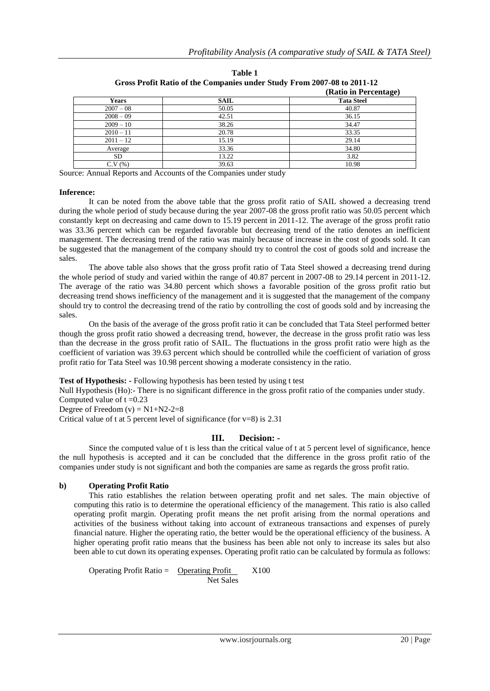|             | -           | (Ratio in Percentage) |
|-------------|-------------|-----------------------|
| Years       | <b>SAIL</b> | <b>Tata Steel</b>     |
| $2007 - 08$ | 50.05       | 40.87                 |
| $2008 - 09$ | 42.51       | 36.15                 |
| $2009 - 10$ | 38.26       | 34.47                 |
| $2010 - 11$ | 20.78       | 33.35                 |
| $2011 - 12$ | 15.19       | 29.14                 |
| Average     | 33.36       | 34.80                 |
| <b>SD</b>   | 13.22       | 3.82                  |
| C.V(%)      | 39.63       | 10.98                 |

**Table 1 Gross Profit Ratio of the Companies under Study From 2007-08 to 2011-12**

Source: Annual Reports and Accounts of the Companies under study

#### **Inference:**

It can be noted from the above table that the gross profit ratio of SAIL showed a decreasing trend during the whole period of study because during the year 2007-08 the gross profit ratio was 50.05 percent which constantly kept on decreasing and came down to 15.19 percent in 2011-12. The average of the gross profit ratio was 33.36 percent which can be regarded favorable but decreasing trend of the ratio denotes an inefficient management. The decreasing trend of the ratio was mainly because of increase in the cost of goods sold. It can be suggested that the management of the company should try to control the cost of goods sold and increase the sales.

The above table also shows that the gross profit ratio of Tata Steel showed a decreasing trend during the whole period of study and varied within the range of 40.87 percent in 2007-08 to 29.14 percent in 2011-12. The average of the ratio was 34.80 percent which shows a favorable position of the gross profit ratio but decreasing trend shows inefficiency of the management and it is suggested that the management of the company should try to control the decreasing trend of the ratio by controlling the cost of goods sold and by increasing the sales.

On the basis of the average of the gross profit ratio it can be concluded that Tata Steel performed better though the gross profit ratio showed a decreasing trend, however, the decrease in the gross profit ratio was less than the decrease in the gross profit ratio of SAIL. The fluctuations in the gross profit ratio were high as the coefficient of variation was 39.63 percent which should be controlled while the coefficient of variation of gross profit ratio for Tata Steel was 10.98 percent showing a moderate consistency in the ratio.

**Test of Hypothesis: -** Following hypothesis has been tested by using t test

Null Hypothesis (Ho):- There is no significant difference in the gross profit ratio of the companies under study. Computed value of  $t = 0.23$ 

Degree of Freedom  $(v) = N1 + N2 - 2 = 8$ 

Critical value of t at 5 percent level of significance (for  $v=8$ ) is 2.31

### **III. Decision: -**

Since the computed value of t is less than the critical value of t at 5 percent level of significance, hence the null hypothesis is accepted and it can be concluded that the difference in the gross profit ratio of the companies under study is not significant and both the companies are same as regards the gross profit ratio.

### **b) Operating Profit Ratio**

This ratio establishes the relation between operating profit and net sales. The main objective of computing this ratio is to determine the operational efficiency of the management. This ratio is also called operating profit margin. Operating profit means the net profit arising from the normal operations and activities of the business without taking into account of extraneous transactions and expenses of purely financial nature. Higher the operating ratio, the better would be the operational efficiency of the business. A higher operating profit ratio means that the business has been able not only to increase its sales but also been able to cut down its operating expenses. Operating profit ratio can be calculated by formula as follows:

Operating Profit Ratio = Operating Profit  $X100$ Net Sales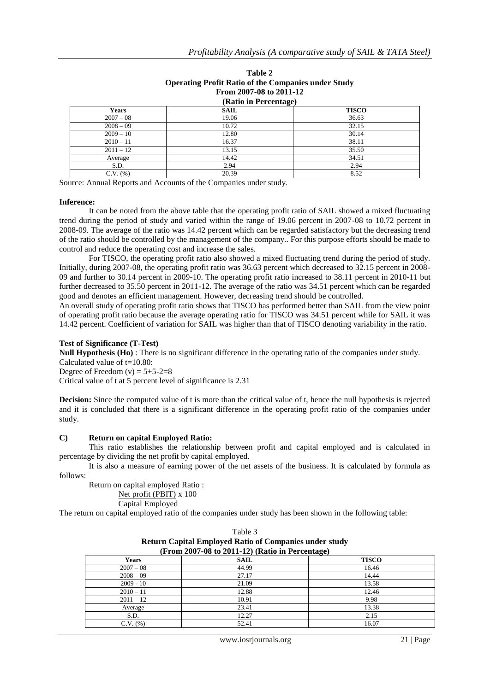| <b>Operating Profit Ratio of the Companies under Study</b><br>From 2007-08 to 2011-12<br>(Ratio in Percentage) |       |       |  |  |
|----------------------------------------------------------------------------------------------------------------|-------|-------|--|--|
|                                                                                                                |       |       |  |  |
| $2007 - 08$                                                                                                    | 19.06 | 36.63 |  |  |
| $2008 - 09$                                                                                                    | 10.72 | 32.15 |  |  |
| $2009 - 10$                                                                                                    | 12.80 | 30.14 |  |  |
| $2010 - 11$                                                                                                    | 16.37 | 38.11 |  |  |
| $2011 - 12$                                                                                                    | 13.15 | 35.50 |  |  |
| Average                                                                                                        | 14.42 | 34.51 |  |  |
| S.D.                                                                                                           | 2.94  | 2.94  |  |  |
| $C.V.$ $(\%)$                                                                                                  | 20.39 | 8.52  |  |  |

# **Table 2 Operating Profit Ratio of the Companies under Study**

Source: Annual Reports and Accounts of the Companies under study.

#### **Inference:**

It can be noted from the above table that the operating profit ratio of SAIL showed a mixed fluctuating trend during the period of study and varied within the range of 19.06 percent in 2007-08 to 10.72 percent in 2008-09. The average of the ratio was 14.42 percent which can be regarded satisfactory but the decreasing trend of the ratio should be controlled by the management of the company.. For this purpose efforts should be made to control and reduce the operating cost and increase the sales.

For TISCO, the operating profit ratio also showed a mixed fluctuating trend during the period of study. Initially, during 2007-08, the operating profit ratio was 36.63 percent which decreased to 32.15 percent in 2008- 09 and further to 30.14 percent in 2009-10. The operating profit ratio increased to 38.11 percent in 2010-11 but further decreased to 35.50 percent in 2011-12. The average of the ratio was 34.51 percent which can be regarded good and denotes an efficient management. However, decreasing trend should be controlled.

An overall study of operating profit ratio shows that TISCO has performed better than SAIL from the view point of operating profit ratio because the average operating ratio for TISCO was 34.51 percent while for SAIL it was 14.42 percent. Coefficient of variation for SAIL was higher than that of TISCO denoting variability in the ratio.

### **Test of Significance (T-Test)**

**Null Hypothesis (Ho)** : There is no significant difference in the operating ratio of the companies under study. Calculated value of t=10.80: Degree of Freedom  $(v) = 5+5-2=8$ 

Critical value of t at 5 percent level of significance is 2.31

**Decision:** Since the computed value of t is more than the critical value of t, hence the null hypothesis is rejected and it is concluded that there is a significant difference in the operating profit ratio of the companies under study.

### **C) Return on capital Employed Ratio:**

This ratio establishes the relationship between profit and capital employed and is calculated in percentage by dividing the net profit by capital employed.

It is also a measure of earning power of the net assets of the business. It is calculated by formula as follows:

Return on capital employed Ratio :

Net profit (PBIT) x 100

Capital Employed

The return on capital employed ratio of the companies under study has been shown in the following table:

| <b>Return Capital Employed Ratio of Companies under study</b><br>(From 2007-08 to 2011-12) (Ratio in Percentage) |       |       |  |  |
|------------------------------------------------------------------------------------------------------------------|-------|-------|--|--|
|                                                                                                                  |       |       |  |  |
| $2007 - 08$                                                                                                      | 44.99 | 16.46 |  |  |
| $2008 - 09$                                                                                                      | 27.17 | 14.44 |  |  |
| $2009 - 10$                                                                                                      | 21.09 | 13.58 |  |  |
| $2010 - 11$                                                                                                      | 12.88 | 12.46 |  |  |
| $2011 - 12$                                                                                                      | 10.91 | 9.98  |  |  |
| Average                                                                                                          | 23.41 | 13.38 |  |  |
| S.D.                                                                                                             | 12.27 | 2.15  |  |  |
| $C.V.$ $(\%)$                                                                                                    | 52.41 | 16.07 |  |  |

| Table 3                                                       |
|---------------------------------------------------------------|
| <b>Return Capital Employed Ratio of Companies under study</b> |
| $(From 2007-08 to 2011-12)$ (Ratio in Percentage)             |